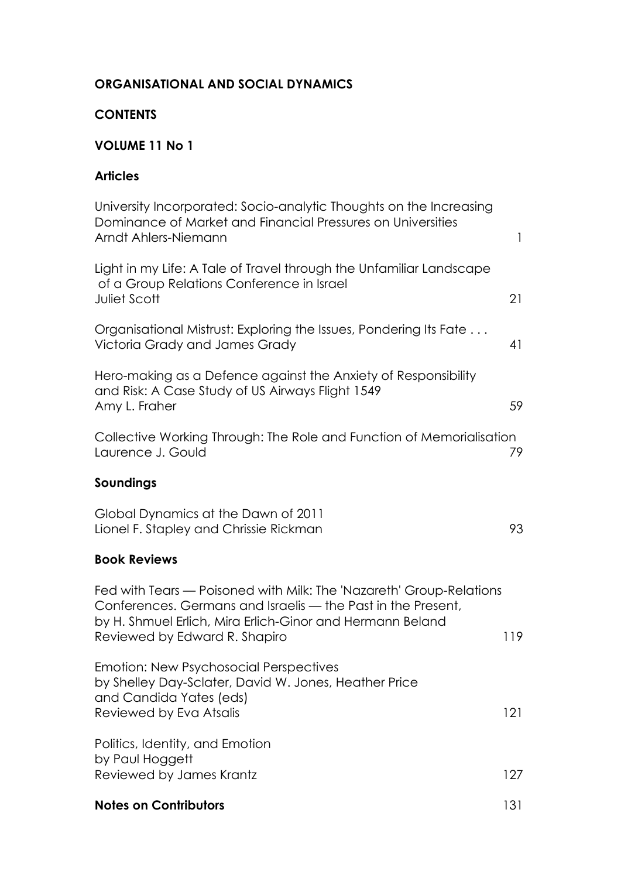# **ORGANISATIONAL AND SOCIAL DYNAMICS**

### **CONTENTS**

# **VOLUME 11 No 1**

#### **Articles**

| University Incorporated: Socio-analytic Thoughts on the Increasing<br>Dominance of Market and Financial Pressures on Universities<br>Arndt Ahlers-Niemann                                                                         | $\mathbf{1}$ |
|-----------------------------------------------------------------------------------------------------------------------------------------------------------------------------------------------------------------------------------|--------------|
| Light in my Life: A Tale of Travel through the Unfamiliar Landscape<br>of a Group Relations Conference in Israel<br><b>Juliet Scott</b>                                                                                           | 21           |
| Organisational Mistrust: Exploring the Issues, Pondering Its Fate<br>Victoria Grady and James Grady                                                                                                                               | 41           |
| Hero-making as a Defence against the Anxiety of Responsibility<br>and Risk: A Case Study of US Airways Flight 1549<br>Amy L. Fraher                                                                                               | 59           |
| Collective Working Through: The Role and Function of Memorialisation<br>Laurence J. Gould                                                                                                                                         | 79           |
| Soundings                                                                                                                                                                                                                         |              |
| Global Dynamics at the Dawn of 2011<br>Lionel F. Stapley and Chrissie Rickman                                                                                                                                                     | 93           |
| <b>Book Reviews</b>                                                                                                                                                                                                               |              |
| Fed with Tears — Poisoned with Milk: The 'Nazareth' Group-Relations<br>Conferences. Germans and Israelis - the Past in the Present,<br>by H. Shmuel Erlich, Mira Erlich-Ginor and Hermann Beland<br>Reviewed by Edward R. Shapiro | 119          |
| <b>Emotion: New Psychosocial Perspectives</b><br>by Shelley Day-Sclater, David W. Jones, Heather Price<br>and Candida Yates (eds)<br>Reviewed by Eva Atsalis                                                                      | 121          |
| Politics, Identity, and Emotion                                                                                                                                                                                                   |              |
| by Paul Hoggett<br>Reviewed by James Krantz                                                                                                                                                                                       | 127          |
| <b>Notes on Contributors</b>                                                                                                                                                                                                      | 131          |